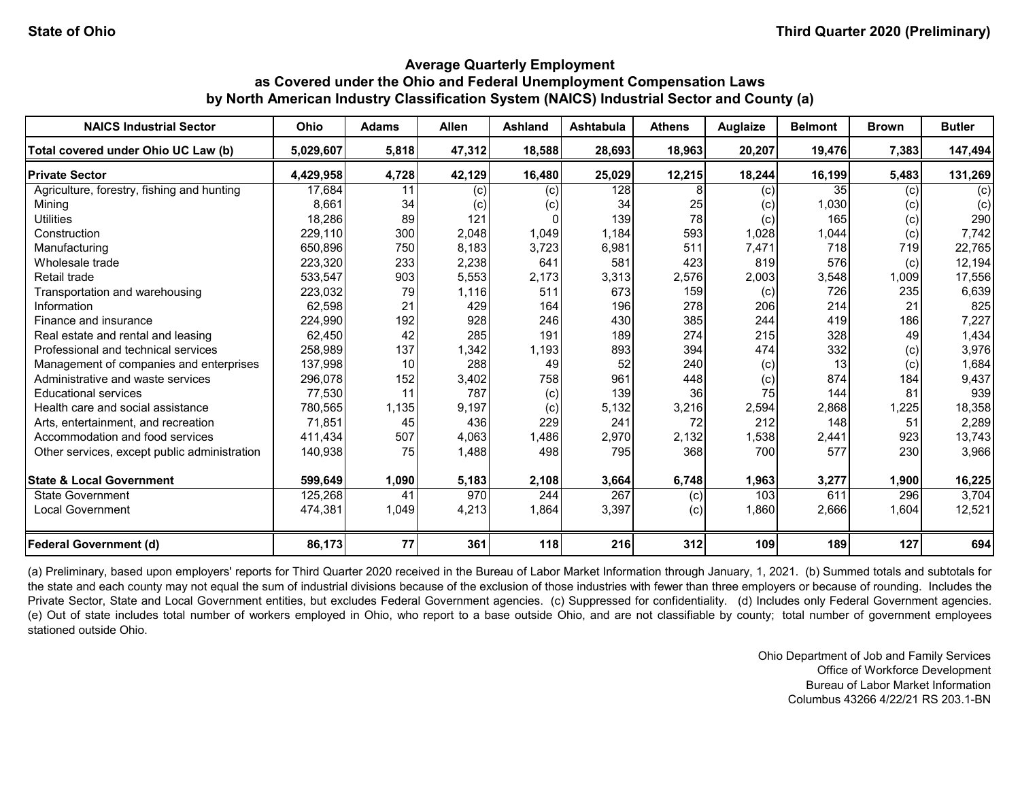| <b>NAICS Industrial Sector</b>               | <b>Ohio</b> | <b>Adams</b> | <b>Allen</b> | <b>Ashland</b> | <b>Ashtabula</b> | <b>Athens</b> | <b>Auglaize</b> | <b>Belmont</b>  | <b>Brown</b> | <b>Butler</b> |
|----------------------------------------------|-------------|--------------|--------------|----------------|------------------|---------------|-----------------|-----------------|--------------|---------------|
| Total covered under Ohio UC Law (b)          | 5,029,607   | 5,818        | 47,312       | 18,588         | 28,693           | 18,963        | 20,207          | 19,476          | 7,383        | 147,494       |
| <b>Private Sector</b>                        | 4,429,958   | 4,728        | 42,129       | 16,480         | 25,029           | 12,215        | 18,244          | 16,199          | 5,483        | 131,269       |
| Agriculture, forestry, fishing and hunting   | 17,684      |              | (c)          | (c)            | 128              |               | (c)             | 35 <sub>l</sub> | (c)          | (c)           |
| Mining                                       | 8,661       | 34           | (c)          | (c)            | 34               | 25            | (c)             | 1,030           | (c)          | (c)           |
| <b>Utilities</b>                             | 18,286      | 89           | 121          | $\Omega$       | 139              | 78            | (c)             | 165             | (c)          | 290           |
| Construction                                 | 229,110     | 300          | 2,048        | 1,049          | 1,184            | 593           | 1,028           | 1,044           | (c)          | 7,742         |
| Manufacturing                                | 650,896     | 750          | 8,183        | 3,723          | 6,981            | 511           | 7,471           | 718             | 719          | 22,765        |
| Wholesale trade                              | 223,320     | 233          | 2,238        | 641            | 581              | 423           | 819             | 576             | (c)          | 12,194        |
| Retail trade                                 | 533,547     | 903          | 5,553        | 2,173          | 3,313            | 2,576         | 2,003           | 3,548           | 1,009        | 17,556        |
| Transportation and warehousing               | 223,032     | 79           | 1,116        | 511            | 673              | 159           | (c)             | 726             | 235          | 6,639         |
| Information                                  | 62,598      | 21           | 429          | 164            | 196              | 278           | 206             | 214             | 21           | 825           |
| Finance and insurance                        | 224,990     | 192          | 928          | 246            | 430              | 385           | 244             | 419             | 186          | 7,227         |
| Real estate and rental and leasing           | 62,450      | 42           | 285          | 191            | 189              | 274           | 215             | 328             | 49           | 1,434         |
| Professional and technical services          | 258,989     | 137          | 1,342        | 1,193          | 893              | 394           | 474             | 332             | (c)          | 3,976         |
| Management of companies and enterprises      | 137,998     | 10           | 288          | 49             | 52               | 240           | (c)             | 13              | (c)          | 1,684         |
| Administrative and waste services            | 296,078     | 152          | 3,402        | 758            | 961              | 448           | (c)             | 874             | 184          | 9,437         |
| <b>Educational services</b>                  | 77,530      | 11           | 787          | (c)            | 139              | 36            | 75              | 144             | 81           | 939           |
| Health care and social assistance            | 780,565     | 1,135        | 9,197        | (c)            | 5,132            | 3,216         | 2,594           | 2,868           | 1,225        | 18,358        |
| Arts, entertainment, and recreation          | 71,851      | 45           | 436          | 229            | 241              | 72            | 212             | 148             | 51           | 2,289         |
| Accommodation and food services              | 411,434     | 507          | 4,063        | 1,486          | 2,970            | 2,132         | 1,538           | 2,441           | 923          | 13,743        |
| Other services, except public administration | 140,938     | 75           | 1,488        | 498            | 795              | 368           | 700             | 577             | 230          | 3,966         |
| <b>State &amp; Local Government</b>          | 599,649     | 1,090        | 5,183        | 2,108          | 3,664            | 6,748         | 1,963           | 3,277           | 1,900        | 16,225        |
| <b>State Government</b>                      | 125,268     | 41           | 970          | 244            | 267              | (c)           | 103             | 611             | 296          | 3,704         |
| <b>Local Government</b>                      | 474,381     | 1,049        | 4,213        | 1,864          | 3,397            | (c)           | 1,860           | 2,666           | 1,604        | 12,521        |
| <b>Federal Government (d)</b>                | 86,173      | 77           | 361          | 118            | 216              | 312           | 109             | 189             | 127          | 694           |

(a) Preliminary, based upon employers' reports for Third Quarter 2020 received in the Bureau of Labor Market Information through January, 1, 2021. (b) Summed totals and subtotals for the state and each county may not equal the sum of industrial divisions because of the exclusion of those industries with fewer than three employers or because of rounding. Includes the Private Sector, State and Local Government entities, but excludes Federal Government agencies. (c) Suppressed for confidentiality. (d) Includes only Federal Government agencies. (e) Out of state includes total number of workers employed in Ohio, who report to a base outside Ohio, and are not classifiable by county; total number of government employees stationed outside Ohio.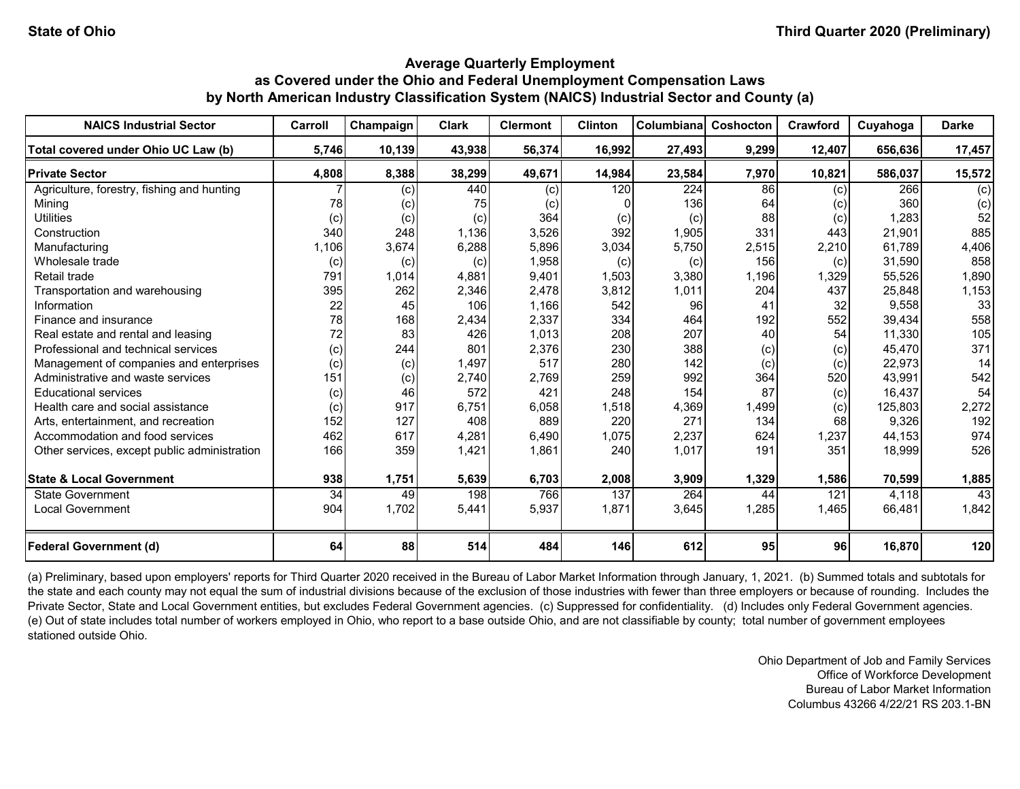| <b>NAICS Industrial Sector</b>               | Carroll | Champaign | <b>Clark</b> | <b>Clermont</b> | <b>Clinton</b> | Columbiana | Coshocton       | Crawford  | Cuyahoga | <b>Darke</b> |
|----------------------------------------------|---------|-----------|--------------|-----------------|----------------|------------|-----------------|-----------|----------|--------------|
| Total covered under Ohio UC Law (b)          | 5,746   | 10,139    | 43,938       | 56,374          | 16,992         | 27,493     | 9,299           | 12,407    | 656,636  | 17,457       |
| <b>Private Sector</b>                        | 4,808   | 8,388     | 38,299       | 49,671          | 14,984         | 23,584     | 7,970           | 10,821    | 586,037  | 15,572       |
| Agriculture, forestry, fishing and hunting   |         | (c)       | 440          | (c)             | 120            | 224        | 86              | (c)       | 266      | (c)          |
| Mining                                       | 78      | (c)       | 75           | (c)             |                | 136        | 64              | (c)       | 360      | (c)          |
| <b>Utilities</b>                             | (c)     | (c)       | (c)          | 364             | (c)            | (c)        | 88              | (c)       | 1,283    | 52           |
| Construction                                 | 340     | 248       | 1,136        | 3,526           | 392            | 1,905      | 331             | 443       | 21,901   | 885          |
| Manufacturing                                | 1,106   | 3,674     | 6,288        | 5,896           | 3,034          | 5,750      | 2,515           | 2,210     | 61,789   | 4,406        |
| Wholesale trade                              | (c)     | (c)       | (c)          | 1,958           | (c)            | (c)        | 156             | (c)       | 31,590   | 858          |
| Retail trade                                 | 791     | 1,014     | 4,881        | 9,401           | 1,503          | 3,380      | 1,196           | 1,329     | 55,526   | 1,890        |
| Transportation and warehousing               | 395     | 262       | 2,346        | 2,478           | 3,812          | 1,011      | 204             | 437       | 25,848   | 1,153        |
| Information                                  | 22      | 45        | 106          | 1,166           | 542            | 96         | 41              | 32        | 9,558    | 33           |
| Finance and insurance                        | 78      | 168       | 2,434        | 2,337           | 334            | 464        | 192             | 552       | 39,434   | 558          |
| Real estate and rental and leasing           | 72      | 83        | 426          | 1,013           | 208            | 207        | 40              | 54        | 11,330   | 105          |
| Professional and technical services          | (c)     | 244       | 801          | 2,376           | 230            | 388        | (c)             | (c)       | 45,470   | 371          |
| Management of companies and enterprises      | (c)     | (c)       | 1,497        | 517             | 280            | 142        | (c)             | (c)       | 22,973   | 14           |
| Administrative and waste services            | 151     | (c)       | 2,740        | 2,769           | 259            | 992        | 364             | 520       | 43,991   | 542          |
| <b>Educational services</b>                  | (c)     | 46        | 572          | 421             | 248            | 154        | 87              | (c)       | 16,437   | 54           |
| Health care and social assistance            | (c)     | 917       | 6,751        | 6,058           | 1,518          | 4,369      | 1,499           | (c)       | 125.803  | 2,272        |
| Arts, entertainment, and recreation          | 152     | 127       | 408          | 889             | 220            | 271        | 134             | 68        | 9,326    | 192          |
| Accommodation and food services              | 462     | 617       | 4,281        | 6,490           | 1,075          | 2,237      | 624             | 1,237     | 44,153   | 974          |
| Other services, except public administration | 166     | 359       | 1,421        | 1,861           | 240            | 1,017      | 191             | 351       | 18,999   | 526          |
| <b>State &amp; Local Government</b>          | 938     | 1,751     | 5,639        | 6,703           | 2,008          | 3,909      | 1,329           | 1,586     | 70,599   | 1,885        |
| State Government                             | 34      | 49        | 198          | 766             | 137            | 264        | 44              | 121       | 4,118    | 43           |
| <b>Local Government</b>                      | 904     | 1,702     | 5,441        | 5,937           | 1,871          | 3,645      | 1,285           | 1,465     | 66,481   | 1,842        |
| <b>Federal Government (d)</b>                | 64      | 88        | 514          | 484             | 146            | 612        | 95 <sub>l</sub> | <b>96</b> | 16,870   | 120          |

(a) Preliminary, based upon employers' reports for Third Quarter 2020 received in the Bureau of Labor Market Information through January, 1, 2021. (b) Summed totals and subtotals for the state and each county may not equal the sum of industrial divisions because of the exclusion of those industries with fewer than three employers or because of rounding. Includes the Private Sector, State and Local Government entities, but excludes Federal Government agencies. (c) Suppressed for confidentiality. (d) Includes only Federal Government agencies. (e) Out of state includes total number of workers employed in Ohio, who report to a base outside Ohio, and are not classifiable by county; total number of government employees stationed outside Ohio.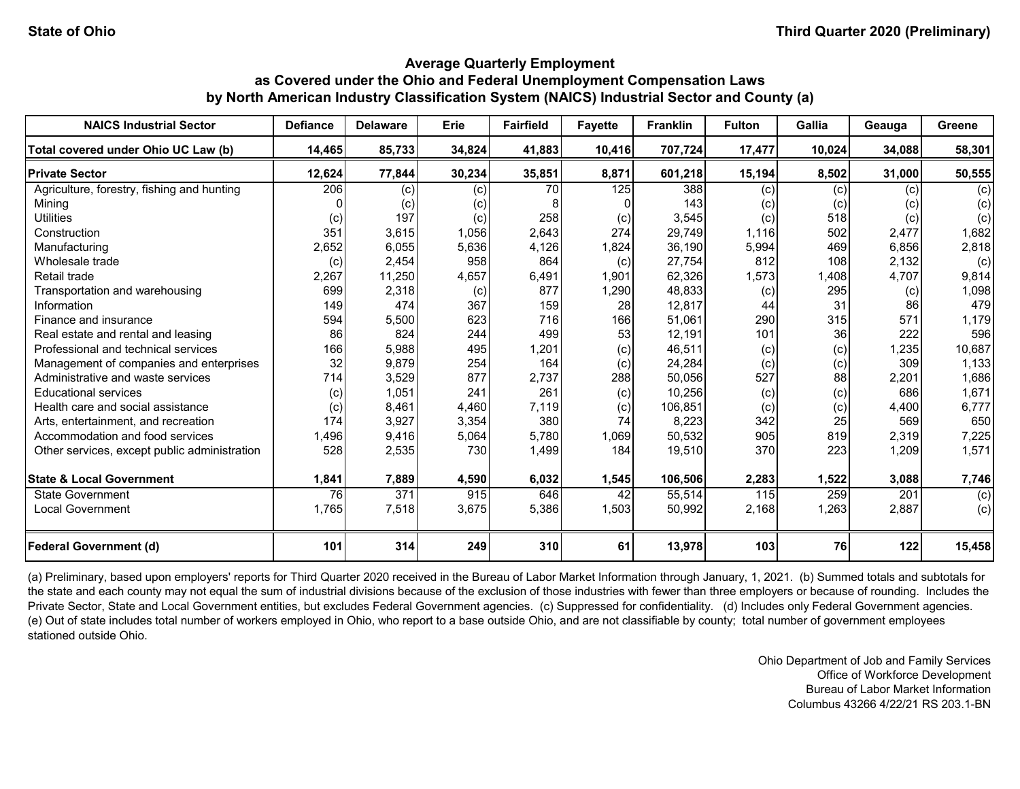| <b>NAICS Industrial Sector</b>               | <b>Defiance</b> | <b>Delaware</b> | Erie   | <b>Fairfield</b> | <b>Favette</b> | <b>Franklin</b> | <b>Fulton</b> | Gallia | Geauga | Greene |
|----------------------------------------------|-----------------|-----------------|--------|------------------|----------------|-----------------|---------------|--------|--------|--------|
| Total covered under Ohio UC Law (b)          | 14,465          | 85,733          | 34,824 | 41,883           | 10,416         | 707,724         | 17,477        | 10,024 | 34,088 | 58,301 |
| <b>Private Sector</b>                        | 12,624          | 77,844          | 30,234 | 35,851           | 8,871          | 601,218         | 15,194        | 8,502  | 31,000 | 50,555 |
| Agriculture, forestry, fishing and hunting   | 206             | (c)             | (c)    | 70               | 125            | 388             | (c)           | (c)    | (c)    | (c)    |
| Mining                                       |                 | (c)             | (c)    |                  |                | 143             | (c)           | (c)    | (c)    | (c)    |
| <b>Utilities</b>                             | (c)             | 197             | (c)    | 258              | (c)            | 3,545           | (c)           | 518    | (c)    | (c)    |
| Construction                                 | 351             | 3,615           | 1,056  | 2,643            | 274            | 29,749          | 1,116         | 502    | 2,477  | 1,682  |
| Manufacturing                                | 2,652           | 6,055           | 5,636  | 4,126            | 1,824          | 36,190          | 5,994         | 469    | 6,856  | 2,818  |
| Wholesale trade                              | (c)             | 2,454           | 958    | 864              | (c)            | 27,754          | 812           | 108    | 2,132  | (c)    |
| Retail trade                                 | 2,267           | 11,250          | 4,657  | 6,491            | 1,901          | 62,326          | 1,573         | 1,408  | 4,707  | 9,814  |
| Transportation and warehousing               | 699             | 2,318           | (c)    | 877              | 1,290          | 48,833          | (c)           | 295    | (c)    | 1,098  |
| Information                                  | 149             | 474             | 367    | 159              | 28             | 12,817          | 44            | 31     | 86     | 479    |
| Finance and insurance                        | 594             | 5,500           | 623    | 716              | 166            | 51,061          | 290           | 315    | 571    | 1,179  |
| Real estate and rental and leasing           | 86              | 824             | 244    | 499              | 53             | 12,191          | 101           | 36     | 222    | 596    |
| Professional and technical services          | 166             | 5,988           | 495    | 1,201            | (c)            | 46,511          | (c)           | (c)    | 1,235  | 10,687 |
| Management of companies and enterprises      | 32              | 9,879           | 254    | 164              | (c)            | 24,284          | (c)           | (c)    | 309    | 1,133  |
| Administrative and waste services            | 714             | 3,529           | 877    | 2,737            | 288            | 50,056          | 527           | 88     | 2,201  | 1,686  |
| <b>Educational services</b>                  | (c)             | 1,051           | 241    | 261              | (c)            | 10,256          | (c)           | (c)    | 686    | 1,671  |
| Health care and social assistance            | (c)             | 8,461           | 4,460  | 7,119            | (c)            | 106,851         | (c)           | (c)    | 4,400  | 6,777  |
| Arts, entertainment, and recreation          | 174             | 3,927           | 3,354  | 380              | 74             | 8,223           | 342           | 25     | 569    | 650    |
| Accommodation and food services              | 1,496           | 9,416           | 5,064  | 5,780            | 1,069          | 50,532          | 905           | 819    | 2,319  | 7,225  |
| Other services, except public administration | 528             | 2,535           | 730    | 1,499            | 184            | 19,510          | 370           | 223    | 1,209  | 1,571  |
| <b>State &amp; Local Government</b>          | 1,841           | 7,889           | 4,590  | 6,032            | 1,545          | 106,506         | 2,283         | 1,522  | 3,088  | 7,746  |
| State Government                             | 76              | 371             | 915    | 646              | 42             | 55,514          | 115           | 259    | 201    | (c)    |
| <b>Local Government</b>                      | 1,765           | 7,518           | 3,675  | 5,386            | 1,503          | 50,992          | 2,168         | 1,263  | 2,887  | (c)    |
| <b>Federal Government (d)</b>                | 101             | 314             | 249    | 310              | 61             | 13,978          | 103           | 76     | 122    | 15,458 |

(a) Preliminary, based upon employers' reports for Third Quarter 2020 received in the Bureau of Labor Market Information through January, 1, 2021. (b) Summed totals and subtotals for the state and each county may not equal the sum of industrial divisions because of the exclusion of those industries with fewer than three employers or because of rounding. Includes the Private Sector, State and Local Government entities, but excludes Federal Government agencies. (c) Suppressed for confidentiality. (d) Includes only Federal Government agencies. (e) Out of state includes total number of workers employed in Ohio, who report to a base outside Ohio, and are not classifiable by county; total number of government employees stationed outside Ohio.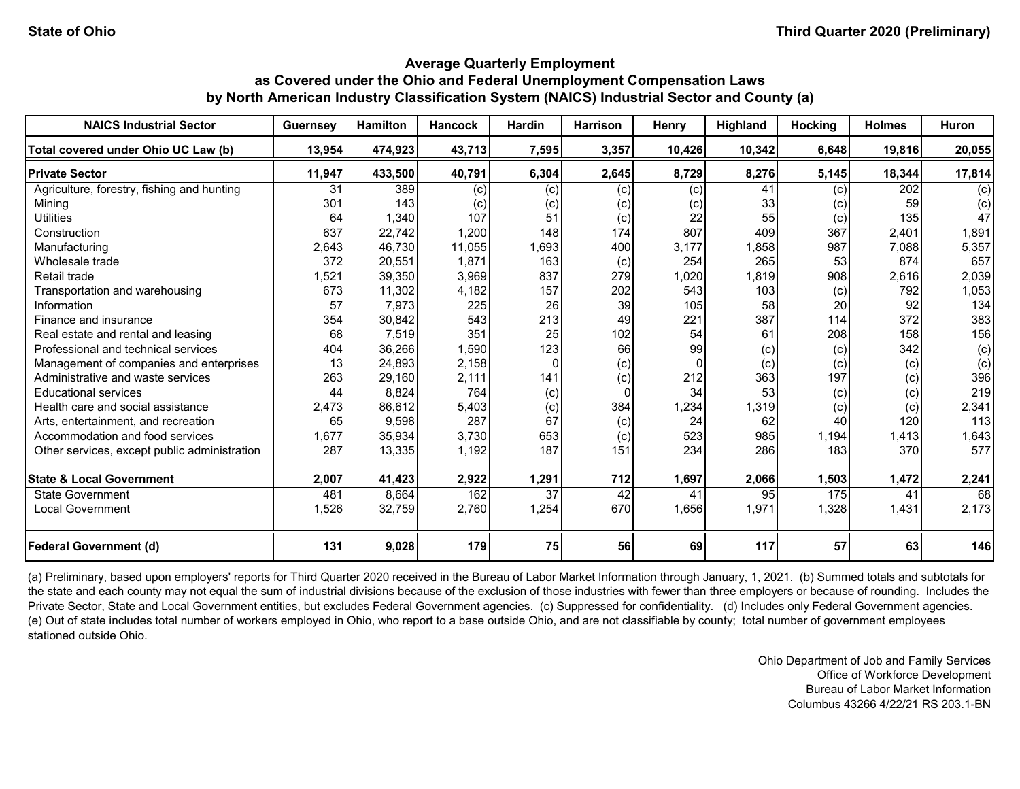| <b>NAICS Industrial Sector</b>               | <b>Guernsey</b> | <b>Hamilton</b> | <b>Hancock</b> | <b>Hardin</b>   | <b>Harrison</b> | <b>Henry</b> | Highland | Hocking | <b>Holmes</b> | <b>Huron</b> |
|----------------------------------------------|-----------------|-----------------|----------------|-----------------|-----------------|--------------|----------|---------|---------------|--------------|
| Total covered under Ohio UC Law (b)          | 13,954          | 474,923         | 43,713         | 7,595           | 3,357           | 10,426       | 10,342   | 6,648   | 19,816        | 20,055       |
| <b>Private Sector</b>                        | 11,947          | 433,500         | 40,791         | 6,304           | 2,645           | 8,729        | 8,276    | 5,145   | 18,344        | 17,814       |
| Agriculture, forestry, fishing and hunting   | 31              | 389             | (c)            | (c)             | (c)             | (c)          | 41       | (c)     | 202           | (c)          |
| Mining                                       | 301             | 143             | (c)            | (c)             | (c)             | (c)          | 33       | (c)     | 59            | (c)          |
| <b>Utilities</b>                             | 64              | 1,340           | 107            | 51              | (c)             | 22           | 55       | (c)     | 135           | 47           |
| Construction                                 | 637             | 22,742          | 1,200          | 148             | 174             | 807          | 409      | 367     | 2,401         | 1,891        |
| Manufacturing                                | 2,643           | 46,730          | 11,055         | 1,693           | 400             | 3,177        | 1,858    | 987     | 7,088         | 5,357        |
| Wholesale trade                              | 372             | 20,551          | 1,871          | 163             | (c)             | 254          | 265      | 53      | 874           | 657          |
| Retail trade                                 | 1,521           | 39,350          | 3,969          | 837             | 279             | 1,020        | 1,819    | 908     | 2,616         | 2,039        |
| Transportation and warehousing               | 673             | 11,302          | 4,182          | 157             | 202             | 543          | 103      | (c)     | 792           | 1,053        |
| Information                                  | 57              | 7,973           | 225            | 26              | 39              | 105          | 58       | 20      | 92            | 134          |
| Finance and insurance                        | 354             | 30,842          | 543            | 213             | 49              | 221          | 387      | 114     | 372           | 383          |
| Real estate and rental and leasing           | 68              | 7,519           | 351            | 25              | 102             | 54           | 61       | 208     | 158           | 156          |
| Professional and technical services          | 404             | 36,266          | 1,590          | 123             | 66              | 99           | (c)      | (c)     | 342           | (c)          |
| Management of companies and enterprises      | 13              | 24,893          | 2,158          | $\Omega$        | (c)             | $\Omega$     | (c)      | (c)     | (c)           | (c)          |
| Administrative and waste services            | 263             | 29,160          | 2,111          | 141             | (c)             | 212          | 363      | 197     | (c)           | 396          |
| <b>Educational services</b>                  | 44              | 8,824           | 764            | (c)             | 0               | 34           | 53       | (c)     | (c)           | 219          |
| Health care and social assistance            | 2,473           | 86,612          | 5,403          | (c)             | 384             | 1,234        | 1,319    | (c)     | (c)           | 2,341        |
| Arts, entertainment, and recreation          | 65              | 9,598           | 287            | 67              | (c)             | 24           | 62       | 40      | 120           | 113          |
| Accommodation and food services              | 1,677           | 35,934          | 3,730          | 653             | (c)             | 523          | 985      | 1,194   | 1,413         | 1,643        |
| Other services, except public administration | 287             | 13,335          | 1,192          | 187             | 151             | 234          | 286      | 183     | 370           | 577          |
| <b>State &amp; Local Government</b>          | 2,007           | 41,423          | 2,922          | 1,291           | 712             | 1,697        | 2,066    | 1,503   | 1,472         | 2,241        |
| State Government                             | 481             | 8,664           | 162            | $\overline{37}$ | $\overline{42}$ | 41           | 95       | 175     | 41            | 68           |
| <b>Local Government</b>                      | 1,526           | 32,759          | 2,760          | 1,254           | 670             | 1,656        | 1,971    | 1,328   | 1,431         | 2,173        |
| <b>Federal Government (d)</b>                | 131             | 9,028           | 179            | 75              | 56              | 69           | 117      | 57      | 63            | 146          |

(a) Preliminary, based upon employers' reports for Third Quarter 2020 received in the Bureau of Labor Market Information through January, 1, 2021. (b) Summed totals and subtotals for the state and each county may not equal the sum of industrial divisions because of the exclusion of those industries with fewer than three employers or because of rounding. Includes the Private Sector, State and Local Government entities, but excludes Federal Government agencies. (c) Suppressed for confidentiality. (d) Includes only Federal Government agencies. (e) Out of state includes total number of workers employed in Ohio, who report to a base outside Ohio, and are not classifiable by county; total number of government employees stationed outside Ohio.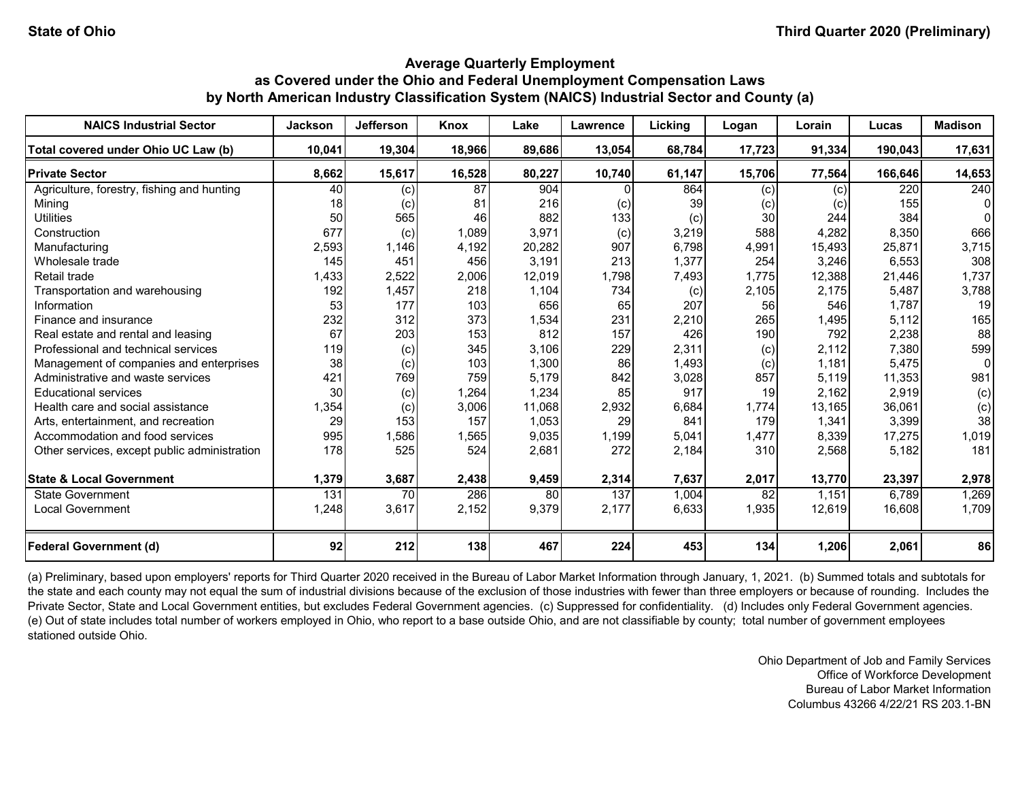| <b>NAICS Industrial Sector</b>               | <b>Jackson</b> | <b>Jefferson</b> | Knox   | Lake   | Lawrence | Licking | Logan           | Lorain | Lucas   | <b>Madison</b> |
|----------------------------------------------|----------------|------------------|--------|--------|----------|---------|-----------------|--------|---------|----------------|
| Total covered under Ohio UC Law (b)          | 10,041         | 19,304           | 18,966 | 89,686 | 13,054   | 68,784  | 17,723          | 91,334 | 190,043 | 17,631         |
| <b>Private Sector</b>                        | 8,662          | 15,617           | 16,528 | 80,227 | 10,740   | 61,147  | 15,706          | 77,564 | 166,646 | 14,653         |
| Agriculture, forestry, fishing and hunting   | 40             | (c)              | 87     | 904    |          | 864     | (c)             | (c)    | 220     | 240            |
| Mining                                       | 18             | (c)              | 81     | 216    | (c)      | 39      | (c)             | (c)    | 155     |                |
| <b>Utilities</b>                             | 50             | 565              | 46     | 882    | 133      | (c)     | 30              | 244    | 384     |                |
| Construction                                 | 677            | (c)              | 1,089  | 3,971  | (c)      | 3,219   | 588             | 4,282  | 8,350   | 666            |
| Manufacturing                                | 2,593          | 1,146            | 4,192  | 20,282 | 907      | 6,798   | 4,991           | 15,493 | 25,871  | 3,715          |
| Wholesale trade                              | 145            | 451              | 456    | 3,191  | 213      | 1,377   | 254             | 3,246  | 6,553   | 308            |
| Retail trade                                 | 1,433          | 2,522            | 2,006  | 12,019 | 1,798    | 7,493   | 1,775           | 12,388 | 21,446  | 1,737          |
| Transportation and warehousing               | 192            | 1,457            | 218    | 1,104  | 734      | (c)     | 2,105           | 2,175  | 5,487   | 3,788          |
| Information                                  | 53             | 177              | 103    | 656    | 65       | 207     | 56              | 546    | 1,787   | 19             |
| Finance and insurance                        | 232            | 312              | 373    | 1,534  | 231      | 2,210   | 265             | 1,495  | 5,112   | 165            |
| Real estate and rental and leasing           | 67             | 203              | 153    | 812    | 157      | 426     | 190             | 792    | 2,238   | 88             |
| Professional and technical services          | 119            | (c)              | 345    | 3,106  | 229      | 2,311   | (c)             | 2,112  | 7,380   | 599            |
| Management of companies and enterprises      | 38             | (c)              | 103    | 1,300  | 86       | 1,493   | (c)             | 1,181  | 5,475   |                |
| Administrative and waste services            | 421            | 769              | 759    | 5.179  | 842      | 3,028   | 857             | 5,119  | 11,353  | 981            |
| <b>Educational services</b>                  | 30             | (c)              | 1,264  | 1,234  | 85       | 917     | 19              | 2.162  | 2,919   | (c)            |
| Health care and social assistance            | 1,354          | (c)              | 3,006  | 11,068 | 2,932    | 6,684   | 1,774           | 13,165 | 36,061  | (c)            |
| Arts, entertainment, and recreation          | 29             | 153              | 157    | 1,053  | 29       | 841     | 179             | 1,341  | 3,399   | 38             |
| Accommodation and food services              | 995            | 1,586            | 1,565  | 9,035  | 1,199    | 5,041   | 1,477           | 8,339  | 17,275  | 1,019          |
| Other services, except public administration | 178            | 525              | 524    | 2,681  | 272      | 2,184   | 310             | 2,568  | 5,182   | 181            |
| <b>State &amp; Local Government</b>          | 1,379          | 3,687            | 2,438  | 9,459  | 2,314    | 7,637   | 2,017           | 13,770 | 23,397  | 2,978          |
| State Government                             | 131            | <b>70</b>        | 286    | 80     | 137      | 1,004   | $\overline{82}$ | 1,151  | 6,789   | 1,269          |
| <b>Local Government</b>                      | 1,248          | 3,617            | 2,152  | 9,379  | 2,177    | 6,633   | 1,935           | 12,619 | 16,608  | 1,709          |
| <b>Federal Government (d)</b>                | 92             | 212              | 138    | 467    | 224      | 453     | 134             | 1,206  | 2,061   | 86             |

(a) Preliminary, based upon employers' reports for Third Quarter 2020 received in the Bureau of Labor Market Information through January, 1, 2021. (b) Summed totals and subtotals for the state and each county may not equal the sum of industrial divisions because of the exclusion of those industries with fewer than three employers or because of rounding. Includes the Private Sector, State and Local Government entities, but excludes Federal Government agencies. (c) Suppressed for confidentiality. (d) Includes only Federal Government agencies. (e) Out of state includes total number of workers employed in Ohio, who report to a base outside Ohio, and are not classifiable by county; total number of government employees stationed outside Ohio.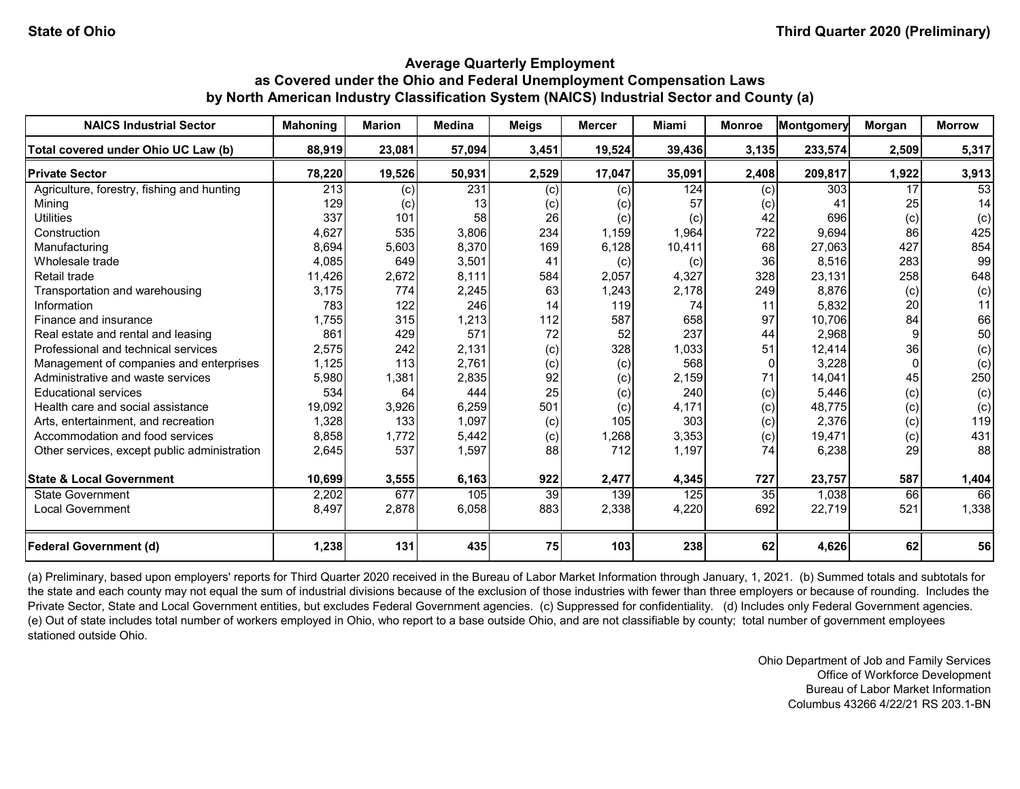| <b>NAICS Industrial Sector</b>               | <b>Mahoning</b> | <b>Marion</b> | <b>Medina</b> | <b>Meigs</b> | <b>Mercer</b> | Miami  | <b>Monroe</b> | <b>Montgomery</b> | Morgan   | <b>Morrow</b> |
|----------------------------------------------|-----------------|---------------|---------------|--------------|---------------|--------|---------------|-------------------|----------|---------------|
| Total covered under Ohio UC Law (b)          | 88,919          | 23,081        | 57,094        | 3,451        | 19,524        | 39,436 | 3,135         | 233,574           | 2,509    | 5,317         |
| <b>Private Sector</b>                        | 78,220          | 19,526        | 50,931        | 2,529        | 17,047        | 35,091 | 2,408         | 209,817           | 1,922    | 3,913         |
| Agriculture, forestry, fishing and hunting   | 213             | (c)           | 231           | (c)          | (c)           | 124    | (c)           | 303               | 17       | 53            |
| Minina                                       | 129             | (c)           | 13            | (c)          | (c)           | 57     | (c)           | 41                | 25       | 14            |
| <b>Utilities</b>                             | 337             | 101           | 58            | 26           | (c)           | (c)    | 42            | 696               | (c)      | (c)           |
| Construction                                 | 4,627           | 535           | 3,806         | 234          | 1,159         | 1,964  | 722           | 9,694             | 86       | 425           |
| Manufacturing                                | 8,694           | 5,603         | 8,370         | 169          | 6,128         | 10,411 | 68            | 27,063            | 427      | 854           |
| Wholesale trade                              | 4,085           | 649           | 3,501         | 41           | (c)           | (c)    | 36            | 8,516             | 283      | 99            |
| Retail trade                                 | 11,426          | 2,672         | 8,111         | 584          | 2,057         | 4,327  | 328           | 23,131            | 258      | 648           |
| Transportation and warehousing               | 3,175           | 774           | 2,245         | 63           | 1,243         | 2,178  | 249           | 8,876             | (c)      | (c)           |
| Information                                  | 783             | 122           | 246           | 14           | 119           | 74     | 11            | 5,832             | 20       | 11            |
| Finance and insurance                        | 1,755           | 315           | 1,213         | 112          | 587           | 658    | 97            | 10,706            | 84       | 66            |
| Real estate and rental and leasing           | 861             | 429           | 571           | 72           | 52            | 237    | 44            | 2,968             |          | 50            |
| Professional and technical services          | 2,575           | 242           | 2,131         | (c)          | 328           | 1,033  | 51            | 12,414            | 36       | (c)           |
| Management of companies and enterprises      | 1,125           | 113           | 2,761         | (c)          | (c)           | 568    |               | 3,228             | $\Omega$ | (c)           |
| Administrative and waste services            | 5,980           | 1,381         | 2,835         | 92           | (c)           | 2,159  | 71            | 14,041            | 45       | 250           |
| <b>Educational services</b>                  | 534             | 64            | 444           | 25           | (c)           | 240    | (c)           | 5,446             | (c)      | (c)           |
| Health care and social assistance            | 19,092          | 3,926         | 6,259         | 501          | (c)           | 4,171  | (c)           | 48,775            | (c)      | (c)           |
| Arts, entertainment, and recreation          | 1,328           | 133           | 1,097         | (c)          | 105           | 303    | (c)           | 2,376             | (c)      | 119           |
| Accommodation and food services              | 8,858           | 1,772         | 5,442         | (c)          | 1,268         | 3,353  | (c)           | 19,471            | (c)      | 431           |
| Other services, except public administration | 2,645           | 537           | 1,597         | 88           | 712           | 1,197  | 74            | 6,238             | 29       | 88            |
| <b>State &amp; Local Government</b>          | 10,699          | 3,555         | 6,163         | 922          | 2,477         | 4,345  | 727           | 23,757            | 587      | 1,404         |
| State Government                             | 2,202           | 677           | 105           | 39           | 139           | 125    | 35            | 1,038             | 66       | 66            |
| <b>Local Government</b>                      | 8,497           | 2,878         | 6,058         | 883          | 2,338         | 4,220  | 692           | 22,719            | 521      | 1,338         |
| <b>Federal Government (d)</b>                | 1,238           | 131           | 435           | 75           | 103           | 238    | 62            | 4,626             | 62       | 56            |

(a) Preliminary, based upon employers' reports for Third Quarter 2020 received in the Bureau of Labor Market Information through January, 1, 2021. (b) Summed totals and subtotals for the state and each county may not equal the sum of industrial divisions because of the exclusion of those industries with fewer than three employers or because of rounding. Includes the Private Sector, State and Local Government entities, but excludes Federal Government agencies. (c) Suppressed for confidentiality. (d) Includes only Federal Government agencies. (e) Out of state includes total number of workers employed in Ohio, who report to a base outside Ohio, and are not classifiable by county; total number of government employees stationed outside Ohio.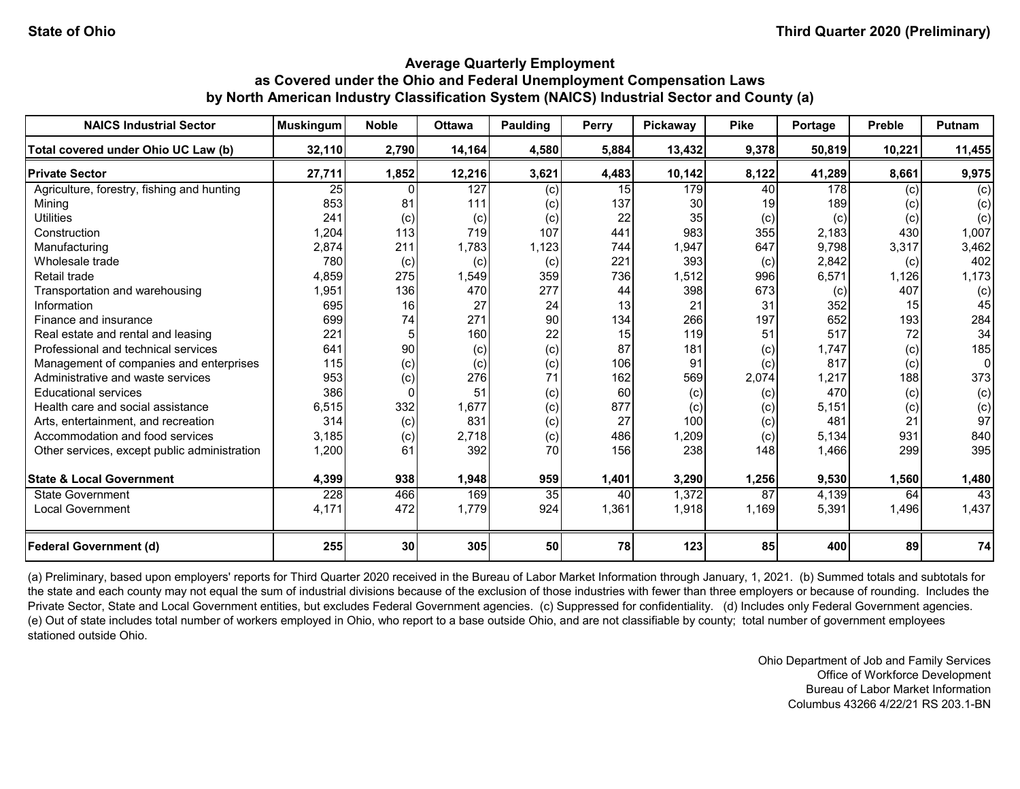| <b>NAICS Industrial Sector</b>               | <b>Muskingum</b> | <b>Noble</b>    | <b>Ottawa</b> | Paulding | Perry | Pickaway | <b>Pike</b> | Portage          | <b>Preble</b> | <b>Putnam</b> |
|----------------------------------------------|------------------|-----------------|---------------|----------|-------|----------|-------------|------------------|---------------|---------------|
| Total covered under Ohio UC Law (b)          | 32,110           | 2,790           | 14,164        | 4,580    | 5,884 | 13,432   | 9,378       | 50,819           | 10,221        | 11,455        |
| <b>Private Sector</b>                        | 27,711           | 1,852           | 12,216        | 3,621    | 4,483 | 10,142   | 8,122       | 41,289           | 8,661         | 9,975         |
| Agriculture, forestry, fishing and hunting   | $\overline{25}$  |                 | 127           | (c)      | 15    | 179      | 40          | $\overline{178}$ | (c)           | (c)           |
| Mining                                       | 853              | 81              | 111           | (c)      | 137   | 30       |             | 189              | (c)           | (c)           |
| <b>Utilities</b>                             | 241              | (c)             | (c)           | (c)      | 22    | 35       | (c)         | (c)              | (c)           | (c)           |
| Construction                                 | 1,204            | 113             | 719           | 107      | 441   | 983      | 355         | 2,183            | 430           | 1,007         |
| Manufacturing                                | 2,874            | 211             | 1,783         | 1,123    | 744   | 1,947    | 647         | 9,798            | 3,317         | 3,462         |
| Wholesale trade                              | 780              | (c)             | (c)           | (c)      | 221   | 393      | (c)         | 2,842            | (c)           | 402           |
| Retail trade                                 | 4,859            | 275             | 1,549         | 359      | 736   | 1,512    | 996         | 6,571            | 1,126         | 1,173         |
| Transportation and warehousing               | 1,951            | 136             | 470           | 277      | 44    | 398      | 673         | (c)              | 407           | (c)           |
| Information                                  | 695              | 16              | 27            | 24       | 13    | 21       | 31          | 352              | 15            | 45            |
| Finance and insurance                        | 699              | 74              | 271           | 90       | 134   | 266      | 197         | 652              | 193           | 284           |
| Real estate and rental and leasing           | 221              | 5               | 160           | 22       | 15    | 119      | 51          | 517              | 72            | 34            |
| Professional and technical services          | 641              | 90              | (c)           | (c)      | 87    | 181      | (c)         | 1,747            | (c)           | 185           |
| Management of companies and enterprises      | 115              | (c)             | (c)           | (c)      | 106   | 91       | (c)         | 817              | (c)           | U             |
| Administrative and waste services            | 953              | (c)             | 276           | 71       | 162   | 569      | 2,074       | 1,217            | 188           | 373           |
| <b>Educational services</b>                  | 386              | $\Omega$        | 51            | (c)      | 60    | (c)      | (c)         | 470              | (c)           | (c)           |
| Health care and social assistance            | 6,515            | 332             | 1,677         | (c)      | 877   | (c)      | (c)         | 5.151            | $\left( $     | (c)           |
| Arts, entertainment, and recreation          | 314              | (c)             | 831           | (c)      | 27    | 100      | (c)         | 481              | 21            | 97            |
| Accommodation and food services              | 3,185            | (c)             | 2,718         | (c)      | 486   | 1,209    | (c)         | 5,134            | 931           | 840           |
| Other services, except public administration | 1,200            | 61              | 392           | 70       | 156   | 238      | 148         | 1,466            | 299           | 395           |
| <b>State &amp; Local Government</b>          | 4,399            | 938             | 1,948         | 959      | 1,401 | 3,290    | 1,256       | 9,530            | 1,560         | 1,480         |
| State Government                             | 228              | 466             | 169           | 35       | 40    | 1,372    | 87          | 4,139            | 64            | 43            |
| <b>Local Government</b>                      | 4,171            | 472             | 1,779         | 924      | 1,361 | 1,918    | 1,169       | 5,391            | 1,496         | 1,437         |
| <b>Federal Government (d)</b>                | 255              | 30 <sup>1</sup> | 305           | 50       | 78    | 123      | 85          | 400              | 89            | 74            |

(a) Preliminary, based upon employers' reports for Third Quarter 2020 received in the Bureau of Labor Market Information through January, 1, 2021. (b) Summed totals and subtotals for the state and each county may not equal the sum of industrial divisions because of the exclusion of those industries with fewer than three employers or because of rounding. Includes the Private Sector, State and Local Government entities, but excludes Federal Government agencies. (c) Suppressed for confidentiality. (d) Includes only Federal Government agencies. (e) Out of state includes total number of workers employed in Ohio, who report to a base outside Ohio, and are not classifiable by county; total number of government employees stationed outside Ohio.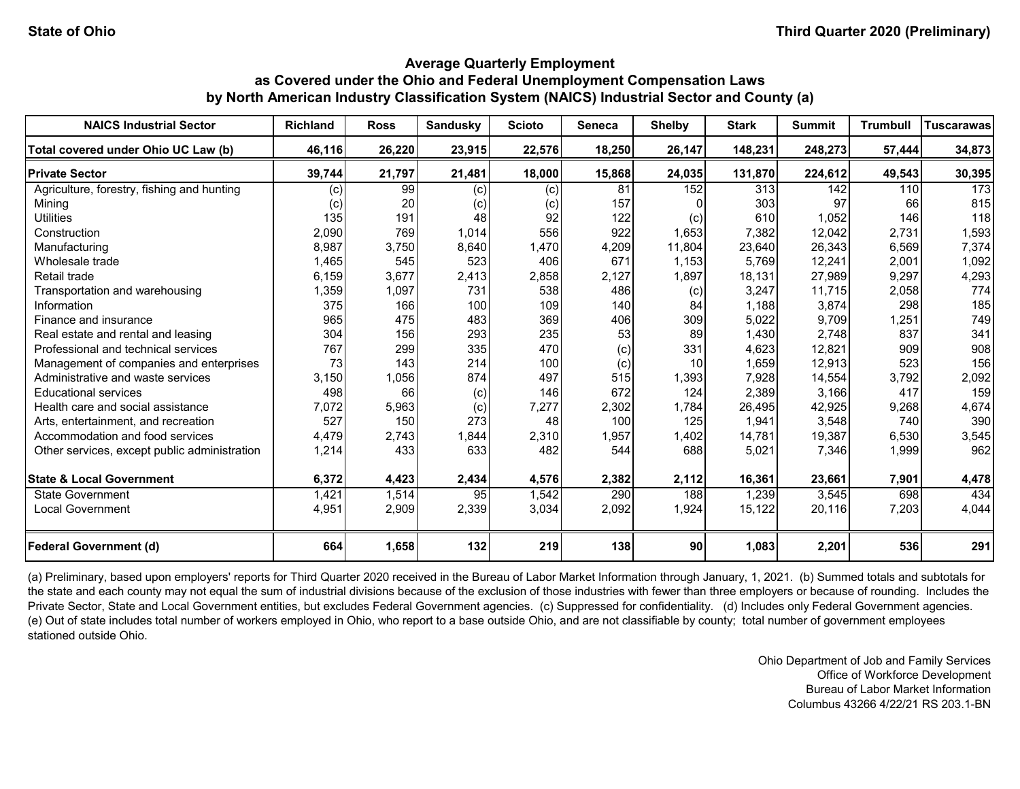| <b>NAICS Industrial Sector</b>               | <b>Richland</b> | <b>Ross</b> | Sandusky | <b>Scioto</b> | <b>Seneca</b> | <b>Shelby</b>   | <b>Stark</b> | <b>Summit</b> | <b>Trumbull</b> | Tuscarawas |
|----------------------------------------------|-----------------|-------------|----------|---------------|---------------|-----------------|--------------|---------------|-----------------|------------|
| Total covered under Ohio UC Law (b)          | 46,116          | 26,220      | 23,915   | 22,576        | 18,250        | 26,147          | 148,231      | 248,273       | 57,444          | 34,873     |
| <b>Private Sector</b>                        | 39,744          | 21,797      | 21,481   | 18,000        | 15,868        | 24,035          | 131,870      | 224,612       | 49,543          | 30,395     |
| Agriculture, forestry, fishing and hunting   | (c)             | 99          | (c)      | (c)           | 81            | 152             | 313          | 142           | 110             | 173        |
| Mining                                       | (c)             | 20          | (c)      | (c)           | 157           |                 | 303          | 97            | 66              | 815        |
| <b>Utilities</b>                             | 135             | 191         | 48       | 92            | 122           | (c)             | 610          | 1,052         | 146             | 118        |
| Construction                                 | 2,090           | 769         | 1,014    | 556           | 922           | 1,653           | 7,382        | 12,042        | 2,731           | 1,593      |
| Manufacturing                                | 8,987           | 3,750       | 8,640    | 1,470         | 4,209         | 11,804          | 23,640       | 26,343        | 6,569           | 7,374      |
| Wholesale trade                              | 1,465           | 545         | 523      | 406           | 671           | 1,153           | 5,769        | 12,241        | 2,001           | 1,092      |
| Retail trade                                 | 6,159           | 3,677       | 2,413    | 2,858         | 2,127         | 1,897           | 18,131       | 27,989        | 9,297           | 4,293      |
| Transportation and warehousing               | 1,359           | 1,097       | 731      | 538           | 486           | (c)             | 3,247        | 11,715        | 2,058           | 774        |
| Information                                  | 375             | 166         | 100      | 109           | 140           | 84              | 1,188        | 3,874         | 298             | 185        |
| Finance and insurance                        | 965             | 475         | 483      | 369           | 406           | 309             | 5,022        | 9,709         | 1,251           | 749        |
| Real estate and rental and leasing           | 304             | 156         | 293      | 235           | 53            | 89              | 1,430        | 2,748         | 837             | 341        |
| Professional and technical services          | 767             | 299         | 335      | 470           | (c)           | 331             | 4,623        | 12,821        | 909             | 908        |
| Management of companies and enterprises      | 73              | 143         | 214      | 100           | (c)           | 10              | 1,659        | 12,913        | 523             | 156        |
| Administrative and waste services            | 3,150           | 1,056       | 874      | 497           | 515           | 1,393           | 7,928        | 14,554        | 3,792           | 2,092      |
| <b>Educational services</b>                  | 498             | 66          | (c)      | 146           | 672           | 124             | 2,389        | 3,166         | 417             | 159        |
| Health care and social assistance            | 7,072           | 5,963       | (c)      | 7,277         | 2,302         | 1.784           | 26,495       | 42,925        | 9,268           | 4,674      |
| Arts, entertainment, and recreation          | 527             | 150         | 273      | 48            | 100           | 125             | 1,941        | 3,548         | 740             | 390        |
| Accommodation and food services              | 4,479           | 2,743       | 1,844    | 2,310         | 1,957         | 1,402           | 14,781       | 19,387        | 6,530           | 3,545      |
| Other services, except public administration | 1,214           | 433         | 633      | 482           | 544           | 688             | 5,021        | 7,346         | 1,999           | 962        |
| <b>State &amp; Local Government</b>          | 6,372           | 4,423       | 2,434    | 4,576         | 2,382         | 2,112           | 16,361       | 23,661        | 7,901           | 4,478      |
| State Government                             | 1,421           | 1,514       | 95       | 1,542         | 290           | 188             | 1,239        | 3,545         | 698             | 434        |
| <b>Local Government</b>                      | 4,951           | 2,909       | 2,339    | 3,034         | 2,092         | 1,924           | 15,122       | 20,116        | 7,203           | 4,044      |
| <b>Federal Government (d)</b>                | 664             | 1,658       | 132      | 219           | 138           | 90 <sub>l</sub> | 1,083        | 2,201         | 536             | 291        |

(a) Preliminary, based upon employers' reports for Third Quarter 2020 received in the Bureau of Labor Market Information through January, 1, 2021. (b) Summed totals and subtotals for the state and each county may not equal the sum of industrial divisions because of the exclusion of those industries with fewer than three employers or because of rounding. Includes the Private Sector, State and Local Government entities, but excludes Federal Government agencies. (c) Suppressed for confidentiality. (d) Includes only Federal Government agencies. (e) Out of state includes total number of workers employed in Ohio, who report to a base outside Ohio, and are not classifiable by county; total number of government employees stationed outside Ohio.